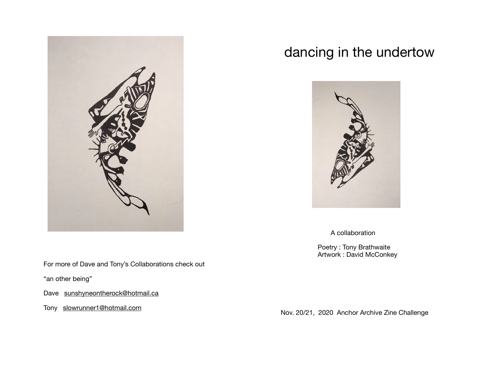

dancing in the undertow



A collaboration

 Poetry : Tony Brathwaite Artwork : David McConkey

For more of Dave and Tony's Collaborations check out

"an other being"

Dave [sunshyneontherock@hotmail.ca](mailto:sunshyneontherock@hotmail.ca)

Tony [slowrunner1@hotmail.com](mailto:slowrunner1@hotmail.com)

Nov. 20/21, 2020 Anchor Archive Zine Challenge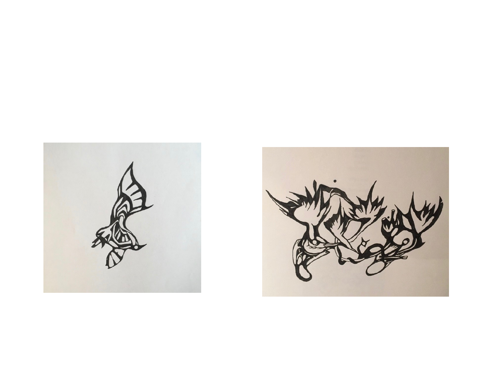

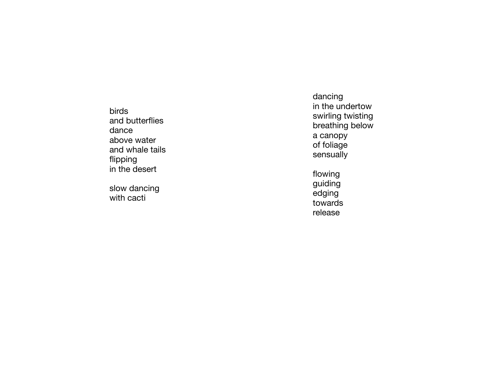birds and butterflies dance above water and whale tails flipping in the desert

 slow dancing with cacti

 dancing in the undertow swirling twisting breathing below a canopy of foliage sensually

 flowing guiding edging towards release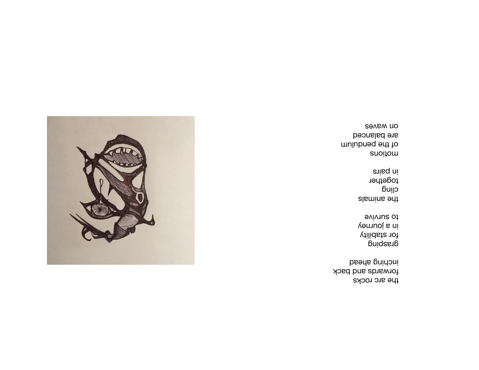the arc rocks forwards and back inching ahead

grasping for stability in a joruney to survive

the animals cling together in pairs

motions of the pendulum are balanced on waves

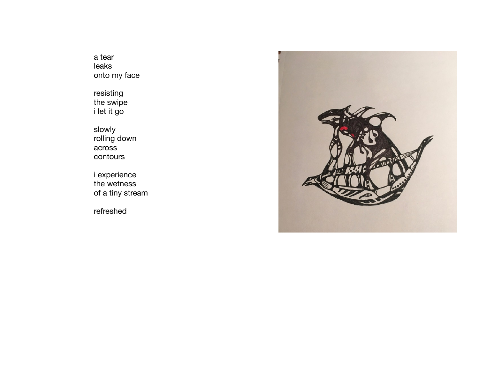a tear leaks onto my face

 resisting the swipe i let it go

 slowly rolling down across contours

 i experience the wetness of a tiny stream

refreshed

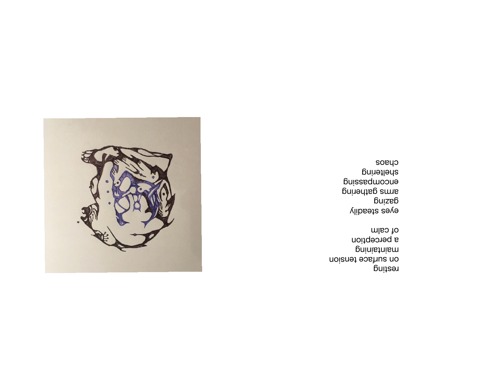

resting on surjace tension maintaining a perception of calm

eyes steadily gazing arms gathering encompassing sheltering chaos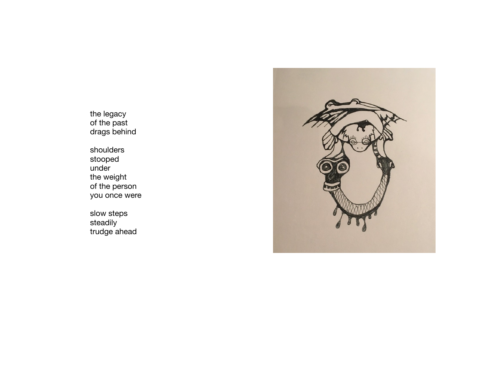the legacy of the past drags behind

shoulders stooped under the weight of the person you once were

slow steps steadily trudge ahead

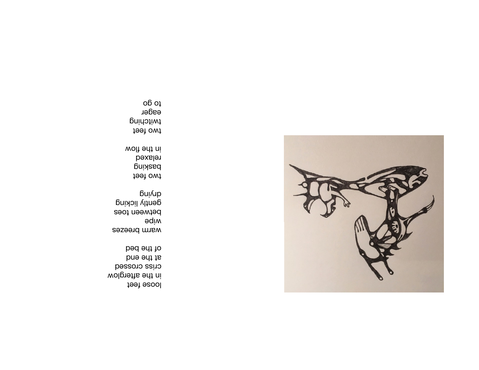

at the end of the bed warm breezes wipe between toes gently licking

loose feet

in the afterglow criss crossed

drying two feet basking relaxed in the flow

two feet twitching eager to go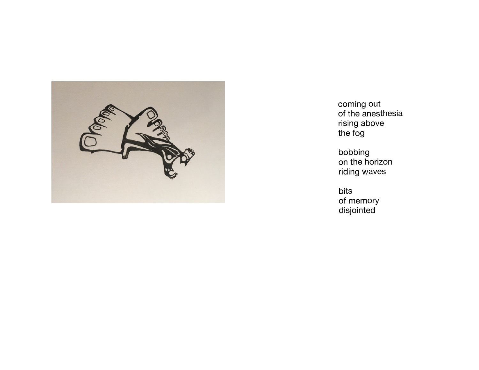

coming out of the anesthesia rising above the fog

bobbing on the horizon riding waves

bits of memory disjointed